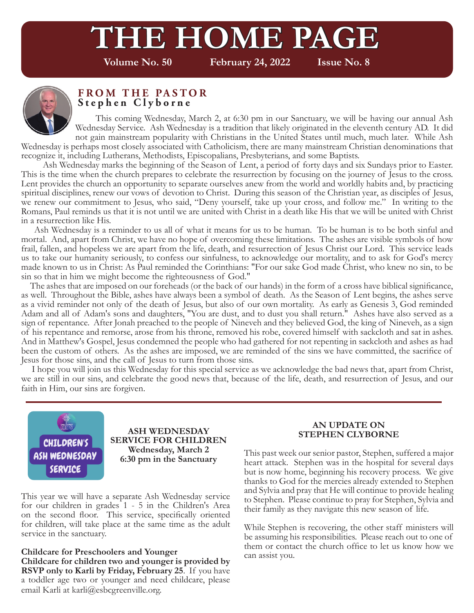# **THE HOME PAGE**

**Volume No. 50 February 24, 2022 Issue No. 8**



#### **FROM THE PASTOR Stephen Clyborne**

 This coming Wednesday, March 2, at 6:30 pm in our Sanctuary, we will be having our annual Ash Wednesday Service. Ash Wednesday is a tradition that likely originated in the eleventh century AD. It did not gain mainstream popularity with Christians in the United States until much, much later. While Ash Wednesday is perhaps most closely associated with Catholicism, there are many mainstream Christian denominations that recognize it, including Lutherans, Methodists, Episcopalians, Presbyterians, and some Baptists.

 Ash Wednesday marks the beginning of the Season of Lent, a period of forty days and six Sundays prior to Easter. This is the time when the church prepares to celebrate the resurrection by focusing on the journey of Jesus to the cross. Lent provides the church an opportunity to separate ourselves anew from the world and worldly habits and, by practicing spiritual disciplines, renew our vows of devotion to Christ. During this season of the Christian year, as disciples of Jesus, we renew our commitment to Jesus, who said, "Deny yourself, take up your cross, and follow me." In writing to the Romans, Paul reminds us that it is not until we are united with Christ in a death like His that we will be united with Christ in a resurrection like His.

 Ash Wednesday is a reminder to us all of what it means for us to be human. To be human is to be both sinful and mortal. And, apart from Christ, we have no hope of overcoming these limitations. The ashes are visible symbols of how frail, fallen, and hopeless we are apart from the life, death, and resurrection of Jesus Christ our Lord. This service leads us to take our humanity seriously, to confess our sinfulness, to acknowledge our mortality, and to ask for God's mercy made known to us in Christ: As Paul reminded the Corinthians: "For our sake God made Christ, who knew no sin, to be sin so that in him we might become the righteousness of God."

 The ashes that are imposed on our foreheads (or the back of our hands) in the form of a cross have biblical significance, as well. Throughout the Bible, ashes have always been a symbol of death. As the Season of Lent begins, the ashes serve as a vivid reminder not only of the death of Jesus, but also of our own mortality. As early as Genesis 3, God reminded Adam and all of Adam's sons and daughters, "You are dust, and to dust you shall return." Ashes have also served as a sign of repentance. After Jonah preached to the people of Nineveh and they believed God, the king of Nineveh, as a sign of his repentance and remorse, arose from his throne, removed his robe, covered himself with sackcloth and sat in ashes. And in Matthew's Gospel, Jesus condemned the people who had gathered for not repenting in sackcloth and ashes as had been the custom of others. As the ashes are imposed, we are reminded of the sins we have committed, the sacrifice of Jesus for those sins, and the call of Jesus to turn from those sins.

 I hope you will join us this Wednesday for this special service as we acknowledge the bad news that, apart from Christ, we are still in our sins, and celebrate the good news that, because of the life, death, and resurrection of Jesus, and our faith in Him, our sins are forgiven.



**ASH WEDNESDAY SERVICE FOR CHILDREN Wednesday, March 2 6:30 pm in the Sanctuary**

This year we will have a separate Ash Wednesday service for our children in grades 1 - 5 in the Children's Area on the second floor. This service, specifically oriented for children, will take place at the same time as the adult service in the sanctuary.

**Childcare for Preschoolers and Younger Childcare for children two and younger is provided by RSVP only to Karli by Friday, February 25**. If you have a toddler age two or younger and need childcare, please email Karli at karli@esbcgreenville.org.

#### **AN UPDATE ON STEPHEN CLYBORNE**

This past week our senior pastor, Stephen, suffered a major heart attack. Stephen was in the hospital for several days but is now home, beginning his recovery process. We give thanks to God for the mercies already extended to Stephen and Sylvia and pray that He will continue to provide healing to Stephen. Please continue to pray for Stephen, Sylvia and their family as they navigate this new season of life.

While Stephen is recovering, the other staff ministers will be assuming his responsibilities. Please reach out to one of them or contact the church office to let us know how we can assist you.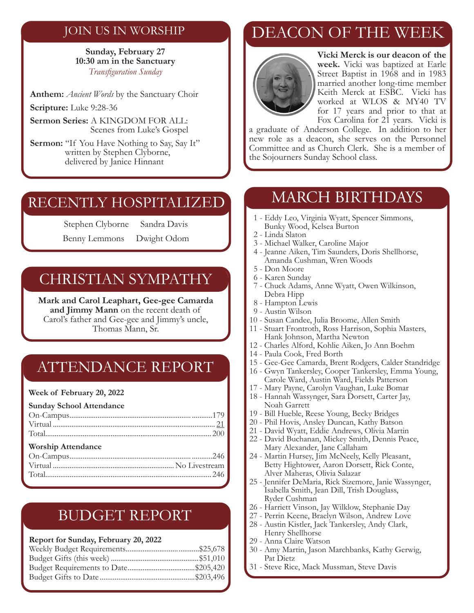### JOIN US IN WORSHIP

**Sunday, February 27 10:30 am in the Sanctuary** *Transfiguration Sunday*

**Anthem:** *Ancient Words* by the Sanctuary Choir

**Scripture:** Luke 9:28-36

**Sermon Series:** A KINGDOM FOR ALL: Scenes from Luke's Gospel

**Sermon:** "If You Have Nothing to Say, Say It" written by Stephen Clyborne, delivered by Janice Hinnant

### RECENTLY HOSPITALIZED

Stephen Clyborne Sandra Davis

Benny Lemmons Dwight Odom

### CHRISTIAN SYMPATHY

**Mark and Carol Leaphart, Gee-gee Camarda and Jimmy Mann** on the recent death of Carol's father and Gee-gee and Jimmy's uncle, Thomas Mann, Sr.

### ATTENDANCE REPORT

#### **Week of February 20, 2022**

#### **Sunday School Attendance**  On-Campus................................................................. ...........179 Virtual ....................................................................................... 21 Total......................................................................................... 200 **Worship Attendance**  On-Campus................................................................. ...........246 Virtual .................................................................No Livestream Total......................................................................................... 246

### BUDGET REPORT

#### **Report for Sunday, February 20, 2022**

## DEACON OF THE WEEK



**Vicki Merck is our deacon of the week.** Vicki was baptized at Earle Street Baptist in 1968 and in 1983 married another long-time member Keith Merck at ESBC. Vicki has worked at WLOS & MY40 TV for 17 years and prior to that at Fox Carolina for 21 years. Vicki is

a graduate of Anderson College. In addition to her new role as a deacon, she serves on the Personnel Committee and as Church Clerk. She is a member of the Sojourners Sunday School class.

### MARCH BIRTHDAYS

- 1 Eddy Leo, Virginia Wyatt, Spencer Simmons, Bunky Wood, Kelsea Burton
- 2 Linda Slaton
- 3 Michael Walker, Caroline Major
- 4 Jeanne Aiken, Tim Saunders, Doris Shellhorse, Amanda Cushman, Wren Woods
- 5 Don Moore
- 6 Karen Sunday
- 7 Chuck Adams, Anne Wyatt, Owen Wilkinson, Debra Hipp
- 8 Hampton Lewis
- 9 Austin Wilson
- 10 Susan Candee, Julia Broome, Allen Smith
- 11 Stuart Frontroth, Ross Harrison, Sophia Masters, Hank Johnson, Martha Newton
- 12 Charles Alford, Kohlie Aiken, Jo Ann Boehm
- 14 Paula Cook, Fred Borth
- 15 Gee-Gee Camarda, Brent Rodgers, Calder Standridge
- 16 Gwyn Tankersley, Cooper Tankersley, Emma Young, Carole Ward, Austin Ward, Fields Patterson
- 17 Mary Payne, Carolyn Vaughan, Luke Bomar
- 18 Hannah Wassynger, Sara Dorsett, Carter Jay, Noah Garrett
- 19 Bill Hueble, Reese Young, Becky Bridges
- 20 Phil Hovis, Ansley Duncan, Kathy Batson
- 21 David Wyatt, Eddie Andrews, Olivia Martin
- 22 David Buchanan, Mickey Smith, Dennis Peace, Mary Alexander, Jane Callaham
- 24 Martin Hursey, Jim McNeely, Kelly Pleasant, Betty Hightower, Aaron Dorsett, Rick Conte, Alver Maheras, Olivia Salazar
- 25 Jennifer DeMaria, Rick Sizemore, Janie Wassynger, Isabella Smith, Jean Dill, Trish Douglass, Ryder Cushman
- 26 Harriett Vinson, Jay Wilklow, Stephanie Day
- 27 Perrin Keene, Braelyn Wilson, Andrew Love
- 28 Austin Kistler, Jack Tankersley, Andy Clark, Henry Shellhorse
- 29 Anna Claire Watson
- 30 Amy Martin, Jason Marchbanks, Kathy Gerwig, Pat Dietz
- 31 Steve Rice, Mack Mussman, Steve Davis